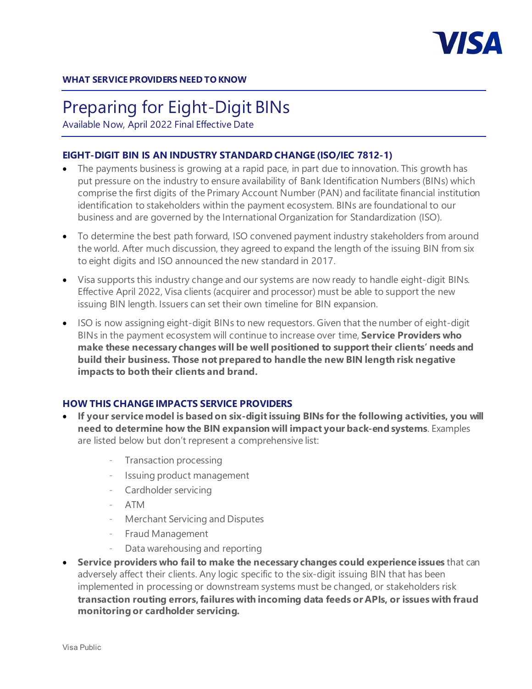

# Preparing for Eight-Digit BINs

Available Now, April 2022 Final Effective Date

## **EIGHT-DIGIT BIN IS AN INDUSTRY STANDARD CHANGE (ISO/IEC 7812-1)**

- The payments business is growing at a rapid pace, in part due to innovation. This growth has put pressure on the industry to ensure availability of Bank Identification Numbers (BINs) which comprise the first digits of the Primary Account Number (PAN) and facilitate financial institution identification to stakeholders within the payment ecosystem. BINs are foundational to our business and are governed by the International Organization for Standardization (ISO).
- To determine the best path forward, ISO convened payment industry stakeholders from around the world. After much discussion, they agreed to expand the length of the issuing BIN from six to eight digits and ISO announced the new standard in 2017.
- Visa supports this industry change and our systems are now ready to handle eight-digit BINs. Effective April 2022, Visa clients (acquirer and processor) must be able to support the new issuing BIN length. Issuers can set their own timeline for BIN expansion.
- ISO is now assigning eight-digit BINs to new requestors. Given that the number of eight-digit BINs in the payment ecosystem will continue to increase over time, **Service Providers who make these necessary changes will be well positioned to support their clients' needs and build their business. Those not prepared to handle the new BIN length risk negative impacts to both their clients and brand.**

### **HOW THIS CHANGE IMPACTS SERVICE PROVIDERS**

- **If your service model is based on six-digit issuing BINs for the following activities, you will need to determine how the BIN expansion will impact your back-end systems**. Examples are listed below but don't represent a comprehensive list:
	- Transaction processing
	- Issuing product management
	- Cardholder servicing
	- ATM
	- Merchant Servicing and Disputes
	- Fraud Management
	- Data warehousing and reporting
- **Service providers who fail to make the necessary changes could experience issues** that can adversely affect their clients. Any logic specific to the six-digit issuing BIN that has been implemented in processing or downstream systems must be changed, or stakeholders risk **transaction routing errors, failures with incoming data feeds or APIs, or issues with fraud monitoring or cardholder servicing.**